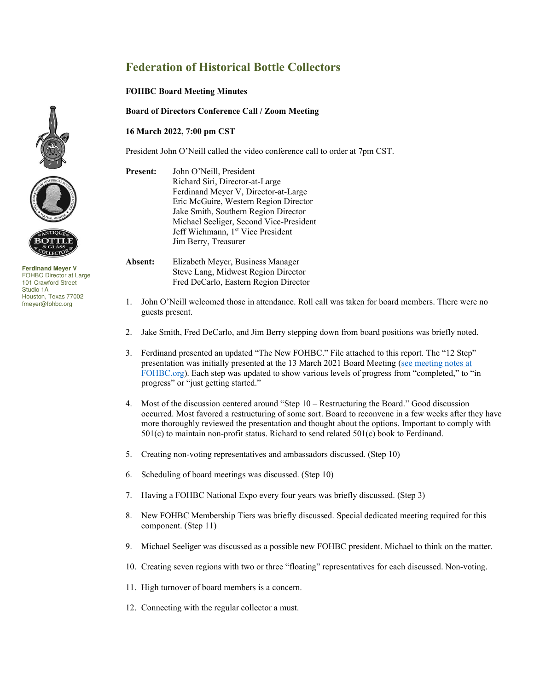## **Federation of Historical Bottle Collectors**

## **FOHBC Board Meeting Minutes**

**Board of Directors Conference Call / Zoom Meeting** 

## **16 March 2022, 7:00 pm CST**

President John O'Neill called the video conference call to order at 7pm CST.

**Present:** John O'Neill, President Richard Siri, Director-at-Large Ferdinand Meyer V, Director-at-Large Eric McGuire, Western Region Director Jake Smith, Southern Region Director Michael Seeliger, Second Vice-President Jeff Wichmann, 1<sup>st</sup> Vice President Jim Berry, Treasurer

**Absent:** Elizabeth Meyer, Business Manager Steve Lang, Midwest Region Director Fred DeCarlo, Eastern Region Director

- 1. John O'Neill welcomed those in attendance. Roll call was taken for board members. There were no guests present.
- 2. Jake Smith, Fred DeCarlo, and Jim Berry stepping down from board positions was briefly noted.
- 3. Ferdinand presented an updated "The New FOHBC." File attached to this report. The "12 Step" presentation was initially presented at the 13 March 2021 Board Meeting [\(see meeting notes at](https://www.fohbc.org/wp-content/uploads/2021/04/FOHBC-Board-Mtg-Mins-2021-3-13.pdf)  [FOHBC.org\)](https://www.fohbc.org/wp-content/uploads/2021/04/FOHBC-Board-Mtg-Mins-2021-3-13.pdf). Each step was updated to show various levels of progress from "completed," to "in progress" or "just getting started."
- 4. Most of the discussion centered around "Step 10 Restructuring the Board." Good discussion occurred. Most favored a restructuring of some sort. Board to reconvene in a few weeks after they have more thoroughly reviewed the presentation and thought about the options. Important to comply with 501(c) to maintain non-profit status. Richard to send related 501(c) book to Ferdinand.
- 5. Creating non-voting representatives and ambassadors discussed. (Step 10)
- 6. Scheduling of board meetings was discussed. (Step 10)
- 7. Having a FOHBC National Expo every four years was briefly discussed. (Step 3)
- 8. New FOHBC Membership Tiers was briefly discussed. Special dedicated meeting required for this component. (Step 11)
- 9. Michael Seeliger was discussed as a possible new FOHBC president. Michael to think on the matter.
- 10. Creating seven regions with two or three "floating" representatives for each discussed. Non-voting.
- 11. High turnover of board members is a concern.
- 12. Connecting with the regular collector a must.





**Ferdinand Meyer V**  FOHBC Director at Large 101 Crawford Street Studio 1A Houston, Texas 77002 fmeyer@fohbc.org